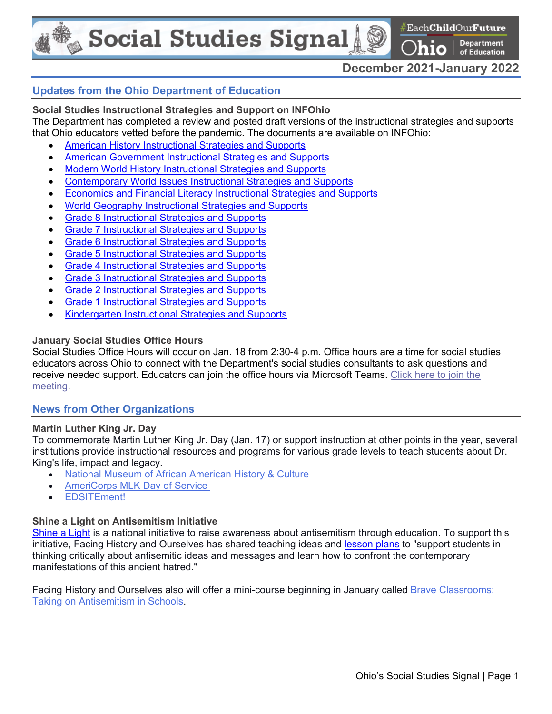**Social Studies Signal** 

 $\#$ Each**Child**Our**Future** 

**Department** of Education

# **December 2021-January 2022**

0

## **Updates from the Ohio Department of Education**

**Social Studies Instructional Strategies and Support on INFOhio**  The Department has completed a review and posted draft versions of the instructional strategies and supports that Ohio educators vetted before the pandemic. The documents are available on INFOhio:

- [American History Instructional Strategies and Supports](https://openspace.infohio.org/courses/draft-american-history-instructional-strategies-and-supports?__hub_id=2)
- American Government [Instructional Strategies and Supports](https://openspace.infohio.org/courses/draft-american-government-instructional-strategies-and-supports?__hub_id=2)
- Modern World History [Instructional Strategies and Supports](https://openspace.infohio.org/courses/modern-world-history-draft-instructional-strategies-and-supports?__hub_id=2)
- Contemporary World [Issues Instructional Strategies and Supports](https://openspace.infohio.org/courses/draft-contemporary-world-issues-instructional-strategies-and-supports?__hub_id=2)
- Economics and Financial Literacy [Instructional Strategies and Supports](https://openspace.infohio.org/courses/draft-economics-and-financial-literacy?__hub_id=2)
- World Geography [Instructional Strategies and Supports](https://openspace.infohio.org/courses/draft-world-geography?__hub_id=2)
- Grade 8 [Instructional Strategies and Supports](https://openspace.infohio.org/courses/draft-grade-8-instructional-strategies-and-supports?__hub_id=2)
- Grade 7 [Instructional Strategies and Supports](https://openspace.infohio.org/courses/draft-grade-7-instructional-strategies-and-supports?__hub_id=2)
- Grade 6 [Instructional Strategies and Supports](https://openspace.infohio.org/courses/draft-grade-6-instructional-strategies-and-supports?__hub_id=2)
- Grade 5 [Instructional Strategies and Supports](https://openspace.infohio.org/courses/draft-grade-5-instructional-strategies-and-supports?__hub_id=2)
- Grade 4 [Instructional Strategies and Supports](https://openspace.infohio.org/courses/draft-grade-4-social-studies?__hub_id=2)
- Grade 3 [Instructional Strategies and Supports](https://openspace.infohio.org/courses/draft-grade-3-ss?__hub_id=2)
- Grade 2 [Instructional Strategies and Supports](https://openspace.infohio.org/courses/draft-grade-2-social-studies?__hub_id=2)
- Grade 1 [Instructional Strategies and Supports](https://openspace.infohio.org/courses/1-grade-one-standards-and-model-curriculum-with-instructional-supports)
- Kindergarten [Instructional Strategies and Supports](https://openspace.infohio.org/courses/kindergarten-social-studies-model-curriculum)

#### **January Social Studies Office Hours**

Social Studies Office Hours will occur on Jan. 18 from 2:30-4 p.m. Office hours are a time for social studies educators across Ohio to connect with the Department's social studies consultants to ask questions and receive needed support. Educators can join the office hours via Microsoft Teams. Click here to join the [meeting.](https://teams.microsoft.com/l/meetup-join/19%3ameeting_OGFhOTFlZGMtZDJiNi00M2Q5LTk4ZmMtNmZlZTYzMWY1NmUw%40thread.v2/0?context=%7b%22Tid%22%3a%2250f8fcc4-94d8-4f07-84eb-36ed57c7c8a2%22%2c%22Oid%22%3a%223d4e1332-94a0-48ec-abf4-b365a8604850%22%7d)

#### **News from Other Organizations**

#### **Martin Luther King Jr. Day**

To commemorate Martin Luther King Jr. Day (Jan. 17) or support instruction at other points in the year, several institutions provide instructional resources and programs for various grade levels to teach students about Dr. King's life, impact and legacy.

- [National Museum of African American History & Culture](https://nmaahc.si.edu/blog-post/15-year-battle-martin-luther-king-jr-day)
- [AmeriCorps MLK Day of Service](https://americorps.gov/newsroom/events/mlk-day)
- [EDSITEment!](https://edsitement.neh.gov/lesson-plans/dr-kings-dream)

#### **Shine a Light on Antisemitism Initiative**

[Shine a Light](https://shinealighton.com/) is a national initiative to raise awareness about antisemitism through education. To support this initiative, Facing History and Ourselves has shared teaching ideas and [lesson plans](https://www.facinghistory.org/resource-library/contemporary-antisemitism-youth-addressing-with-your-students?utm_campaign=Contemporary%20Antisemitism&utm_medium=email&_hsmi=189027616&_hsenc=p2ANqtz-_HfCCxxjvUbiqGYIF5HPtj9TKzoXj02TxT-AR7-fLgd5e58K6IpghFAAG4p_3qlAB618P3Q7qpmVwNnl1URM8InUeBda8r2iDENajFdS7TSKjw_Fo&utm_content=189023825&utm_source=hs_email) to "support students in thinking critically about antisemitic ideas and messages and learn how to confront the contemporary manifestations of this ancient hatred."

Facing History and Ourselves also will offer a mini-course beginning in January called Brave Classrooms: [Taking on Antisemitism in Schools.](https://www.facinghistory.org/calendar/om2021nat1-brave-classrooms-taking-antisemitism-schools?utm_campaign=Contemporary%20Antisemitism&utm_medium=email&_hsmi=189027616&_hsenc=p2ANqtz-9YKUT0cYZ33UA07OVuRQCBjjxKtd4Gmt8LFh6GkWXHErjHtSnIZILLyDBHp-kllWXv8fKwTf9a8OVaP1m1pPssUHIBq8vb9E9xz6tRjQG4eMN2Zc4&utm_content=189023825&utm_source=hs_email)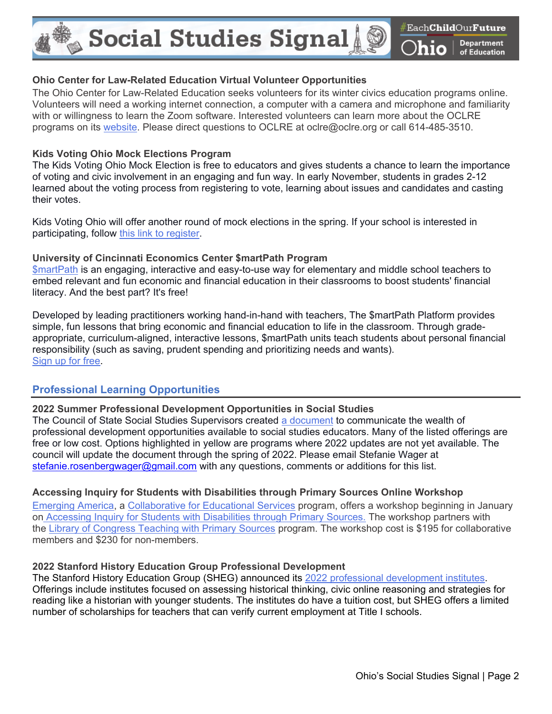$_{\tiny \textcircled{\tiny \textcircled{\tiny \textcirc}}}$  Social Studies Signal  $_{\tiny \textcircled{\tiny \textcircled{\tiny \textcirc}}}$ 

### **Ohio Center for Law-Related Education Virtual Volunteer Opportunities**

The Ohio Center for Law-Related Education seeks volunteers for its winter civics education programs online. Volunteers will need a working internet connection, a computer with a camera and microphone and familiarity with or willingness to learn the Zoom software. Interested volunteers can learn more about the OCLRE programs on its [website.](http://www.oclre.org/aws/OCLRE/pt/sp/volunteer) Please direct questions to OCLRE at oclre@oclre.org or call 614-485-3510.

### **Kids Voting Ohio Mock Elections Program**

The Kids Voting Ohio Mock Election is free to educators and gives students a chance to learn the importance of voting and civic involvement in an engaging and fun way. In early November, students in grades 2-12 learned about the voting process from registering to vote, learning about issues and candidates and casting their votes.

Kids Voting Ohio will offer another round of mock elections in the spring. If your school is interested in participating, follow [this link to register.](https://www.kidsvotingohio.org/elections?utm_campaign=eef56277-22c7-4c6d-8b24-087ddd9f33e6&utm_source=so&utm_medium=mail&cid=610d09e6-d885-4dbc-8bd4-d7fae70d71bc)

## **University of Cincinnati Economics Center \$martPath Program**

[\\$martPath](https://www.economicscenter.org/smartpath/) is an engaging, interactive and easy-to-use way for elementary and middle school teachers to embed relevant and fun economic and financial education in their classrooms to boost students' financial literacy. And the best part? It's free!

Developed by leading practitioners working hand-in-hand with teachers, The \$martPath Platform provides simple, fun lessons that bring economic and financial education to life in the classroom. Through gradeappropriate, curriculum-aligned, interactive lessons, \$martPath units teach students about personal financial responsibility (such as saving, prudent spending and prioritizing needs and wants). [Sign up for free.](https://teach.smartpathlearning.com/register)

# **Professional Learning Opportunities**

# **2022 Summer Professional Development Opportunities in Social Studies**

The Council of State Social Studies Supervisors created [a document](https://docs.google.com/spreadsheets/d/1ujimVsZmCdJ4_gKzpycrUS5inVd4OxzNB__zQKTowlk/edit#gid=560278661) to communicate the wealth of professional development opportunities available to social studies educators. Many of the listed offerings are free or low cost. Options highlighted in yellow are programs where 2022 updates are not yet available. The council will update the document through the spring of 2022. Please email Stefanie Wager at [stefanie.rosenbergwager@gmail.com](mailto:stefanie.rosenbergwager@gmail.com) with any questions, comments or additions for this list.

# **Accessing Inquiry for Students with Disabilities through Primary Sources Online Workshop**

[Emerging America,](http://www.emergingamerica.org/about-emerging-america) a [Collaborative for Educational Services](https://www.collaborative.org/) program, offers a workshop beginning in January on [Accessing Inquiry for Students with Disabilities through Primary Sources.](http://www.emergingamerica.org/workshops/online-accessing-inquiry-students-disabilities-through-primary-sources) The workshop partners with the [Library of Congress Teaching with Primary Sources](https://www.loc.gov/programs/teachers/about-this-program/) program. The workshop cost is \$195 for collaborative members and \$230 for non-members.

# **2022 Stanford History Education Group Professional Development**

The Stanford History Education Group (SHEG) announced its [2022 professional development institutes.](https://sheg.stanford.edu/about/updates/pd-2022) Offerings include institutes focused on assessing historical thinking, civic online reasoning and strategies for reading like a historian with younger students. The institutes do have a tuition cost, but SHEG offers a limited number of scholarships for teachers that can verify current employment at Title I schools.